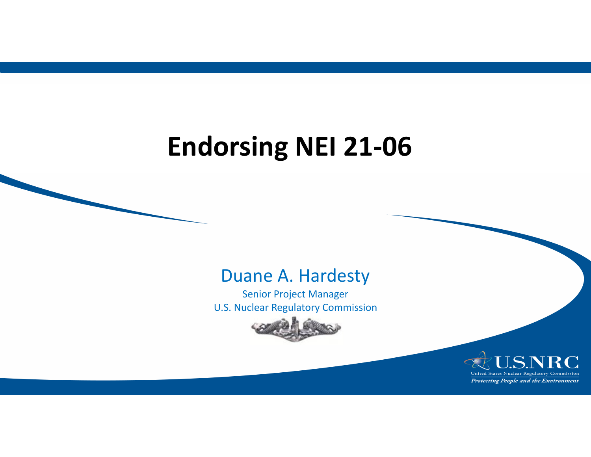## **Endorsing NEI 21-06**

#### Duane A. Hardesty

Senior Project Manager U.S. Nuclear Regulatory Commission



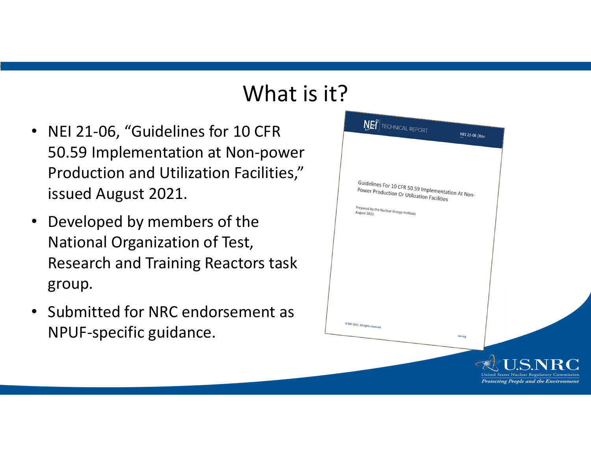#### What is it?

- NEI 21-06, "Guidelines for 10 CFR 50.59 Implementation at Non-powe Production and Utilization Facilities," issued August 2021.
- • Developed by members of the National Organization of Test, Research and Training Reactors task group.
- • Submitted for NRC endorsement as NPUF-specific guidance.

|        | NET TECHNICAL REPORT                                                                                                                                                             | <b>NEI 21-06 [Rev</b> |                                                                                                               |
|--------|----------------------------------------------------------------------------------------------------------------------------------------------------------------------------------|-----------------------|---------------------------------------------------------------------------------------------------------------|
| r<br>Ž | Guidelines For 10 CFR 50.59 Implementation At Non-<br>Power Production Or Utilization Facilities<br>Prepared by the Nuclear Energy Institute<br>@ NEI 2021. All rights reserved. |                       |                                                                                                               |
|        |                                                                                                                                                                                  | nei.org               |                                                                                                               |
|        |                                                                                                                                                                                  |                       | <b>U.S.NRC</b><br>United States Nuclear Regulatory Commission<br><b>Protecting People and the Environment</b> |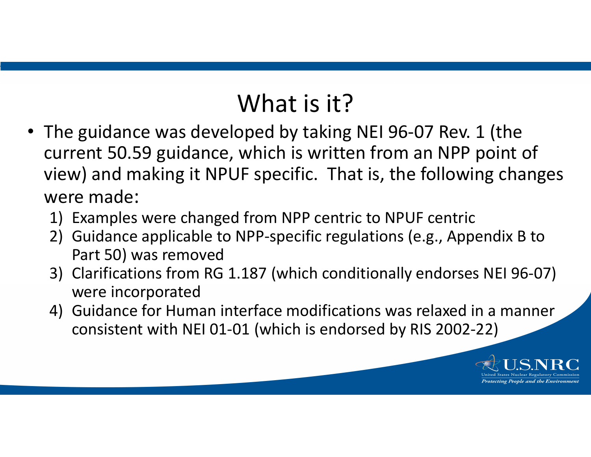### What is it?

- The guidance was developed by taking NEI 96-07 Rev. 1 (the current 50.59 guidance, which is written from an NPP point of view) and making it NPUF specific. That is, the following changes were made:
	- 1) Examples were changed from NPP centric to NPUF centric
	- 2) Guidance applicable to NPP-specific regulations (e.g., Appendix B to Part 50) was removed
	- 3) Clarifications from RG 1.187 (which conditionally endorses NEI 96-07) were incorporated
	- 4) Guidance for Human interface modifications was relaxed in a manner consistent with NEI 01-01 (which is endorsed by RIS 2002-22)

tecting People and the Environmer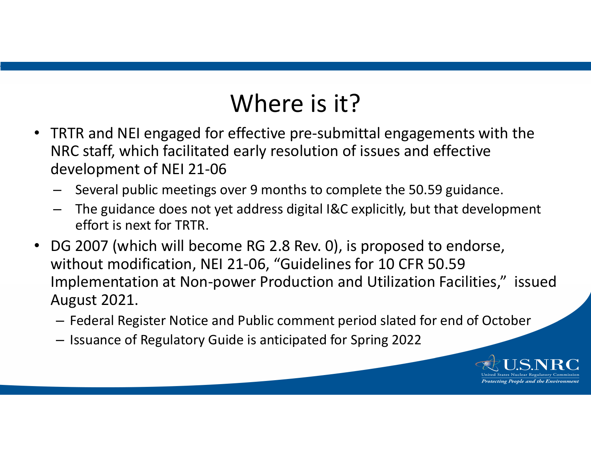#### Where is it?

- TRTR and NEI engaged for effective pre-submittal engagements with the NRC staff, which facilitated early resolution of issues and effective development of NEI 21-06
	- Several public meetings over 9 months to complete the 50.59 guidance.
	- The guidance does not yet address digital I&C explicitly, but that development effort is next for TRTR.
- $\bullet$  DG 2007 (which will become RG 2.8 Rev. 0), is proposed to endorse, without modification, NEI 21-06, "Guidelines for 10 CFR 50.59 Implementation at Non-power Production and Utilization Facilities," issued August 2021.
	- Federal Register Notice and Public comment period slated for end of October
	- Issuance of Regulatory Guide is anticipated for Spring 2022